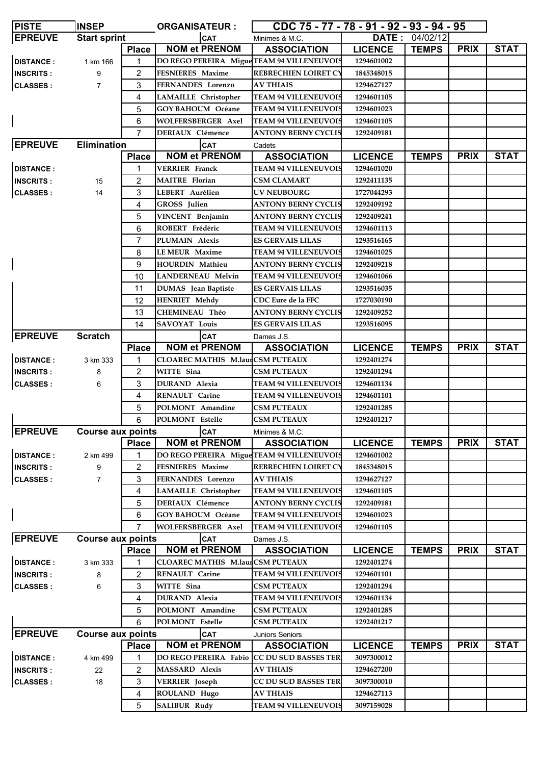| <b>PISTE</b>     | <b>INSEP</b>             | <b>ORGANISATEUR:</b> |                                            | CDC 75 - 77 - 78 - 91 - 92 - 93 - 94 - 95 |                   |                |             |             |
|------------------|--------------------------|----------------------|--------------------------------------------|-------------------------------------------|-------------------|----------------|-------------|-------------|
| <b>EPREUVE</b>   | <b>Start sprint</b>      |                      | <b>CAT</b>                                 | Minimes & M.C.                            |                   | DATE: 04/02/12 |             |             |
|                  |                          | <b>Place</b>         | <b>NOM et PRENOM</b>                       | <b>ASSOCIATION</b>                        | <b>LICENCE</b>    | <b>TEMPS</b>   | <b>PRIX</b> | <b>STAT</b> |
| <b>DISTANCE:</b> | 1 km 166                 | 1                    | DO REGO PEREIRA Migue TEAM 94 VILLENEUVOIS |                                           | 1294601002        |                |             |             |
| <b>INSCRITS:</b> | 9                        | 2                    | FESNIERES Maxime                           | <b>REBRECHIEN LOIRET CY</b>               | 1845348015        |                |             |             |
| <b>CLASSES:</b>  | 7                        | 3                    | <b>FERNANDES</b> Lorenzo                   | <b>AV THIAIS</b>                          | 1294627127        |                |             |             |
|                  |                          | 4                    | <b>LAMAILLE</b> Christopher                | <b>TEAM 94 VILLENEUVOIS</b>               | 1294601105        |                |             |             |
|                  |                          | 5                    | <b>GOY BAHOUM Océane</b>                   | <b>TEAM 94 VILLENEUVOIS</b>               | 1294601023        |                |             |             |
|                  |                          | 6                    | WOLFERSBERGER Axel                         | <b>TEAM 94 VILLENEUVOIS</b>               | 1294601105        |                |             |             |
|                  |                          | $\overline{7}$       | <b>DERIAUX Clémence</b>                    | <b>ANTONY BERNY CYCLIS</b>                | 1292409181        |                |             |             |
| <b>EPREUVE</b>   | <b>Elimination</b>       |                      | <b>CAT</b>                                 | Cadets                                    |                   |                |             |             |
|                  |                          | <b>Place</b>         | <b>NOM et PRENOM</b>                       | <b>ASSOCIATION</b>                        | <b>LICENCE</b>    | <b>TEMPS</b>   | <b>PRIX</b> | <b>STAT</b> |
| <b>DISTANCE:</b> |                          | 1                    | <b>VERRIER Franck</b>                      | <b>TEAM 94 VILLENEUVOIS</b>               | 1294601020        |                |             |             |
| <b>INSCRITS:</b> | 15                       | 2                    | <b>MAITRE</b> Florian                      | <b>CSM CLAMART</b>                        | 1292411135        |                |             |             |
| <b>CLASSES:</b>  | 14                       | 3                    | LEBERT Aurélien                            | <b>UV NEUBOURG</b>                        | 1727044293        |                |             |             |
|                  |                          | 4                    | <b>GROSS</b> Julien                        | <b>ANTONY BERNY CYCLIS</b>                | 1292409192        |                |             |             |
|                  |                          | 5                    | VINCENT Benjamin                           | <b>ANTONY BERNY CYCLIS</b>                | 1292409241        |                |             |             |
|                  |                          | 6                    | ROBERT Frédéric                            | <b>TEAM 94 VILLENEUVOIS</b>               | 1294601113        |                |             |             |
|                  |                          | $\overline{7}$       | PLUMAIN Alexis                             | <b>ES GERVAIS LILAS</b>                   | 1293516165        |                |             |             |
|                  |                          | 8                    | <b>LEMEUR Maxime</b>                       | <b>TEAM 94 VILLENEUVOIS</b>               | 1294601025        |                |             |             |
|                  |                          | 9                    | <b>HOURDIN Mathieu</b>                     | <b>ANTONY BERNY CYCLIS</b>                | 1292409218        |                |             |             |
|                  |                          |                      |                                            | <b>TEAM 94 VILLENEUVOIS</b>               |                   |                |             |             |
|                  |                          | 10                   | <b>LANDERNEAU Melvin</b>                   |                                           | 1294601066        |                |             |             |
|                  |                          | 11                   | <b>DUMAS</b> Jean Baptiste                 | <b>ES GERVAIS LILAS</b>                   | 1293516035        |                |             |             |
|                  |                          | 12                   | <b>HENRIET Mehdy</b>                       | CDC Eure de la FFC                        | 1727030190        |                |             |             |
|                  |                          | 13                   | <b>CHEMINEAU Théo</b>                      | <b>ANTONY BERNY CYCLIS</b>                | 1292409252        |                |             |             |
|                  |                          | 14                   | <b>SAVOYAT Louis</b>                       | <b>ES GERVAIS LILAS</b>                   | 1293516095        |                |             |             |
| <b>EPREUVE</b>   | <b>Scratch</b>           |                      | <b>CAT</b>                                 | Dames J.S.                                |                   |                |             |             |
|                  |                          | <b>Place</b>         | <b>NOM et PRENOM</b>                       | <b>ASSOCIATION</b>                        | <b>LICENCE</b>    | <b>TEMPS</b>   | <b>PRIX</b> | <b>STAT</b> |
| <b>DISTANCE:</b> | 3 km 333                 | 1                    | <b>CLOAREC MATHIS M.laurCSM PUTEAUX</b>    |                                           | 1292401274        |                |             |             |
| <b>INSCRITS:</b> | 8                        | 2                    | WITTE Sina                                 | <b>CSM PUTEAUX</b>                        | 1292401294        |                |             |             |
| <b>CLASSES:</b>  | 6                        | 3                    | <b>DURAND</b> Alexia                       | <b>TEAM 94 VILLENEUVOIS</b>               | 1294601134        |                |             |             |
|                  |                          | 4                    | <b>RENAULT Carine</b>                      | <b>TEAM 94 VILLENEUVOIS</b>               | 1294601101        |                |             |             |
|                  |                          | 5                    | POLMONT Amandine                           | <b>CSM PUTEAUX</b>                        | 1292401285        |                |             |             |
|                  |                          | 6                    | POLMONT Estelle                            | <b>CSM PUTEAUX</b>                        | 1292401217        |                |             |             |
| <b>EPREUVE</b>   | <b>Course aux points</b> |                      | <b>CAT</b>                                 | Minimes & M.C.                            |                   |                |             |             |
|                  |                          | <b>Place</b>         | <b>NOM et PRENOM</b>                       | <b>ASSOCIATION</b>                        | <b>LICENCE</b>    | <b>TEMPS</b>   | <b>PRIX</b> | <b>STAT</b> |
| <b>DISTANCE:</b> | 2 km 499                 | 1                    | DO REGO PEREIRA Migue TEAM 94 VILLENEUVOIS |                                           | 1294601002        |                |             |             |
| <b>INSCRITS:</b> | 9                        | 2                    | <b>FESNIERES Maxime</b>                    | <b>REBRECHIEN LOIRET CY</b>               | 1845348015        |                |             |             |
| <b>CLASSES:</b>  | 7                        | 3                    | FERNANDES Lorenzo                          | <b>AV THIAIS</b>                          | 1294627127        |                |             |             |
|                  |                          | 4                    | <b>LAMAILLE</b> Christopher                | <b>TEAM 94 VILLENEUVOIS</b>               | 1294601105        |                |             |             |
|                  |                          | 5                    | DERIAUX Clémence                           | <b>ANTONY BERNY CYCLIS</b>                | 1292409181        |                |             |             |
|                  |                          | 6                    | <b>GOY BAHOUM Océane</b>                   | <b>TEAM 94 VILLENEUVOIS</b>               | 1294601023        |                |             |             |
|                  |                          | $\overline{7}$       | <b>WOLFERSBERGER Axel</b>                  | <b>TEAM 94 VILLENEUVOIS</b>               | 1294601105        |                |             |             |
| <b>EPREUVE</b>   | <b>Course aux points</b> |                      | <b>CAT</b>                                 | Dames J.S.                                |                   |                |             |             |
|                  |                          | <b>Place</b>         | <b>NOM et PRENOM</b>                       | <b>ASSOCIATION</b>                        | <b>LICENCE</b>    | <b>TEMPS</b>   | <b>PRIX</b> | <b>STAT</b> |
| <b>DISTANCE:</b> | 3 km 333                 | 1                    | <b>CLOAREC MATHIS M.laurCSM PUTEAUX</b>    |                                           | 1292401274        |                |             |             |
| <b>INSCRITS:</b> | 8                        | 2                    | <b>RENAULT Carine</b>                      | <b>TEAM 94 VILLENEUVOIS</b>               | 1294601101        |                |             |             |
| <b>CLASSES:</b>  | 6                        | 3                    | WITTE Sina                                 | <b>CSM PUTEAUX</b>                        | 1292401294        |                |             |             |
|                  |                          | 4                    | <b>DURAND</b> Alexia                       | <b>TEAM 94 VILLENEUVOIS</b>               | 1294601134        |                |             |             |
|                  |                          | 5                    | POLMONT Amandine                           | <b>CSM PUTEAUX</b>                        | 1292401285        |                |             |             |
|                  |                          | 6                    | POLMONT Estelle                            | <b>CSM PUTEAUX</b>                        | 1292401217        |                |             |             |
| <b>EPREUVE</b>   | <b>Course aux points</b> |                      | CAT                                        | <b>Juniors Seniors</b>                    |                   |                |             |             |
|                  |                          | <b>Place</b>         | <b>NOM et PRENOM</b>                       | <b>ASSOCIATION</b>                        | <b>LICENCE</b>    | <b>TEMPS</b>   | <b>PRIX</b> | <b>STAT</b> |
| <b>DISTANCE:</b> | 4 km 499                 | 1                    | DO REGO PEREIRA Fabio CC DU SUD BASSES TER |                                           | 3097300012        |                |             |             |
| <b>INSCRITS:</b> | 22                       | 2                    | <b>MASSARD Alexis</b>                      | <b>AV THIAIS</b>                          | 1294627200        |                |             |             |
| <b>CLASSES:</b>  | 18                       | 3                    | VERRIER Joseph                             | <b>CC DU SUD BASSES TER</b>               | <b>3097300010</b> |                |             |             |
|                  |                          |                      |                                            | <b>AV THIAIS</b>                          | 1294627113        |                |             |             |
|                  |                          | 4                    | ROULAND Hugo                               |                                           |                   |                |             |             |
|                  |                          | 5                    | <b>SALIBUR Rudy</b>                        | <b>TEAM 94 VILLENEUVOIS</b>               | 3097159028        |                |             |             |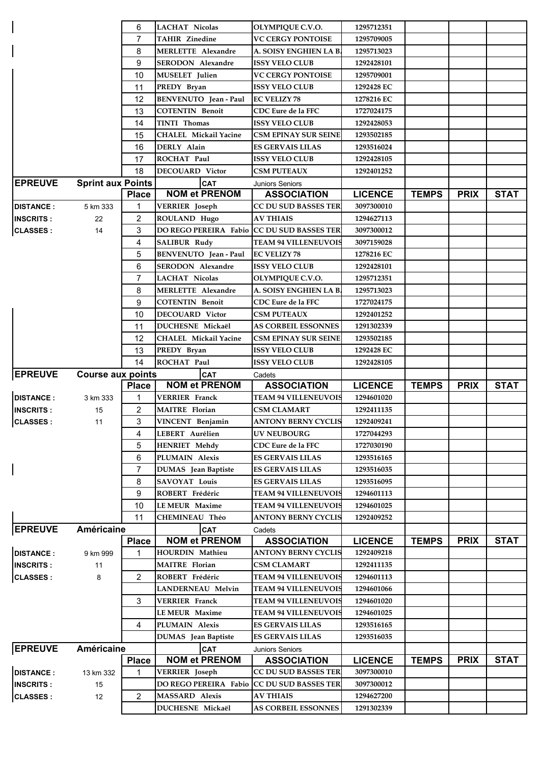|                  |                          | 6              | <b>LACHAT Nicolas</b>                          | OLYMPIQUE C.V.O.                               | 1295712351               |              |             |             |
|------------------|--------------------------|----------------|------------------------------------------------|------------------------------------------------|--------------------------|--------------|-------------|-------------|
|                  |                          | $\overline{7}$ | <b>TAHIR Zinedine</b>                          | <b>VC CERGY PONTOISE</b>                       | 1295709005               |              |             |             |
|                  |                          | 8              | <b>MERLETTE Alexandre</b>                      | A. SOISY ENGHIEN LA B                          | 1295713023               |              |             |             |
|                  |                          | 9              | SERODON Alexandre                              | <b>ISSY VELO CLUB</b>                          | 1292428101               |              |             |             |
|                  |                          | 10             | <b>MUSELET</b> Julien                          | VC CERGY PONTOISE                              | 1295709001               |              |             |             |
|                  |                          | 11             | PREDY Bryan                                    | <b>ISSY VELO CLUB</b>                          | 1292428 EC               |              |             |             |
|                  |                          | 12             | BENVENUTO Jean - Paul                          | <b>EC VELIZY 78</b>                            | 1278216 EC               |              |             |             |
|                  |                          | 13             | <b>COTENTIN Benoit</b>                         | CDC Eure de la FFC                             | 1727024175               |              |             |             |
|                  |                          | 14             | <b>TINTI Thomas</b>                            | <b>ISSY VELO CLUB</b>                          | 1292428053               |              |             |             |
|                  |                          | 15             | <b>CHALEL Mickail Yacine</b>                   | <b>CSM EPINAY SUR SEINE</b>                    | 1293502185               |              |             |             |
|                  |                          | 16             | DERLY Alain                                    | <b>ES GERVAIS LILAS</b>                        | 1293516024               |              |             |             |
|                  |                          | 17             | ROCHAT Paul                                    | <b>ISSY VELO CLUB</b>                          | 1292428105               |              |             |             |
|                  |                          | 18             | <b>DECOUARD Victor</b>                         | <b>CSM PUTEAUX</b>                             | 1292401252               |              |             |             |
| <b>EPREUVE</b>   | <b>Sprint aux Points</b> |                | CAT                                            | <b>Juniors Seniors</b>                         |                          |              |             |             |
|                  |                          | <b>Place</b>   | <b>NOM et PRENOM</b>                           | <b>ASSOCIATION</b>                             | <b>LICENCE</b>           | <b>TEMPS</b> | <b>PRIX</b> | <b>STAT</b> |
| <b>DISTANCE:</b> | 5 km 333                 | 1              | <b>VERRIER</b> Joseph                          | CC DU SUD BASSES TER                           | 3097300010               |              |             |             |
| <b>INSCRITS:</b> | 22                       | $\overline{2}$ | ROULAND Hugo                                   | <b>AV THIAIS</b>                               | 1294627113               |              |             |             |
| <b>CLASSES:</b>  | 14                       | 3              | DO REGO PEREIRA Fabio CC DU SUD BASSES TER     |                                                | 3097300012               |              |             |             |
|                  |                          | 4              | <b>SALIBUR Rudy</b>                            | <b>TEAM 94 VILLENEUVOIS</b>                    | 3097159028               |              |             |             |
|                  |                          |                |                                                |                                                | 1278216 EC               |              |             |             |
|                  |                          | 5              | BENVENUTO Jean - Paul                          | <b>EC VELIZY 78</b>                            |                          |              |             |             |
|                  |                          | 6              | SERODON Alexandre                              | <b>ISSY VELO CLUB</b>                          | 1292428101               |              |             |             |
|                  |                          | $\overline{7}$ | <b>LACHAT Nicolas</b>                          | OLYMPIQUE C.V.O.                               | 1295712351               |              |             |             |
|                  |                          | 8              | <b>MERLETTE Alexandre</b>                      | A. SOISY ENGHIEN LA B                          | 1295713023               |              |             |             |
|                  |                          | 9              | <b>COTENTIN Benoit</b>                         | CDC Eure de la FFC                             | 1727024175               |              |             |             |
|                  |                          | 10             | <b>DECOUARD</b> Victor                         | <b>CSM PUTEAUX</b>                             | 1292401252               |              |             |             |
|                  |                          | 11             | DUCHESNE Mickaël                               | <b>AS CORBEIL ESSONNES</b>                     | 1291302339               |              |             |             |
|                  |                          | 12             | CHALEL Mickail Yacine                          | <b>CSM EPINAY SUR SEINE</b>                    | 1293502185               |              |             |             |
|                  |                          | 13             | PREDY Bryan                                    | <b>ISSY VELO CLUB</b>                          | 1292428 EC               |              |             |             |
|                  |                          | 14             | ROCHAT Paul                                    | <b>ISSY VELO CLUB</b>                          | 1292428105               |              |             |             |
| <b>EPREUVE</b>   | <b>Course aux points</b> |                | <b>CAT</b>                                     |                                                |                          |              |             |             |
|                  |                          |                |                                                | Cadets                                         |                          |              |             |             |
|                  |                          | <b>Place</b>   | <b>NOM et PRENOM</b>                           | <b>ASSOCIATION</b>                             | <b>LICENCE</b>           | <b>TEMPS</b> | <b>PRIX</b> | <b>STAT</b> |
| <b>DISTANCE:</b> | 3 km 333                 | 1              | <b>VERRIER Franck</b>                          | <b>TEAM 94 VILLENEUVOIS</b>                    | 1294601020               |              |             |             |
| <b>INSCRITS:</b> | 15                       | 2              | <b>MAITRE</b> Florian                          | <b>CSM CLAMART</b>                             | 1292411135               |              |             |             |
| <b>CLASSES:</b>  | 11                       | 3              | VINCENT Benjamin                               | ANTONY BERNY CYCLIS                            | 1292409241               |              |             |             |
|                  |                          | 4              | LEBERT Aurélien                                | <b>UV NEUBOURG</b>                             | 1727044293               |              |             |             |
|                  |                          | 5              | <b>HENRIET Mehdy</b>                           | CDC Eure de la FFC                             | 1727030190               |              |             |             |
|                  |                          | 6              | PLUMAIN Alexis                                 | <b>ES GERVAIS LILAS</b>                        | 1293516165               |              |             |             |
|                  |                          | 7              | <b>DUMAS</b> Jean Baptiste                     | <b>ES GERVAIS LILAS</b>                        | 1293516035               |              |             |             |
|                  |                          | 8              | <b>SAVOYAT Louis</b>                           | <b>ES GERVAIS LILAS</b>                        | 1293516095               |              |             |             |
|                  |                          | 9              | ROBERT Frédéric                                | <b>TEAM 94 VILLENEUVOIS</b>                    | 1294601113               |              |             |             |
|                  |                          | 10             | <b>LEMEUR Maxime</b>                           | <b>TEAM 94 VILLENEUVOIS</b>                    | 1294601025               |              |             |             |
|                  |                          | 11             | CHEMINEAU Théo                                 | <b>ANTONY BERNY CYCLIS</b>                     | 1292409252               |              |             |             |
| <b>EPREUVE</b>   | Américaine               |                | <b>CAT</b>                                     | Cadets                                         |                          |              |             |             |
|                  |                          | <b>Place</b>   | <b>NOM et PRENOM</b>                           | <b>ASSOCIATION</b>                             | <b>LICENCE</b>           | <b>TEMPS</b> | <b>PRIX</b> | <b>STAT</b> |
| <b>DISTANCE:</b> | 9 km 999                 | 1              | <b>HOURDIN Mathieu</b>                         | <b>ANTONY BERNY CYCLIS</b>                     | 1292409218               |              |             |             |
| <b>INSCRITS:</b> | 11                       |                | <b>MAITRE</b> Florian                          | <b>CSM CLAMART</b>                             | 1292411135               |              |             |             |
| <b>CLASSES:</b>  | 8                        | 2              | ROBERT Frédéric                                | <b>TEAM 94 VILLENEUVOIS</b>                    | 1294601113               |              |             |             |
|                  |                          |                | <b>LANDERNEAU Melvin</b>                       | <b>TEAM 94 VILLENEUVOIS</b>                    | 1294601066               |              |             |             |
|                  |                          | 3              | <b>VERRIER Franck</b>                          | <b>TEAM 94 VILLENEUVOIS</b>                    | 1294601020               |              |             |             |
|                  |                          |                | <b>LEMEUR Maxime</b>                           | <b>TEAM 94 VILLENEUVOIS</b>                    | 1294601025               |              |             |             |
|                  |                          | 4              | PLUMAIN Alexis                                 | <b>ES GERVAIS LILAS</b>                        | 1293516165               |              |             |             |
|                  |                          |                | DUMAS Jean Baptiste                            | <b>ES GERVAIS LILAS</b>                        | 1293516035               |              |             |             |
|                  | Américaine               |                |                                                | <b>Juniors Seniors</b>                         |                          |              |             |             |
| <b>EPREUVE</b>   |                          | <b>Place</b>   | CAT<br><b>NOM et PRENOM</b>                    | <b>ASSOCIATION</b>                             | <b>LICENCE</b>           | <b>TEMPS</b> | <b>PRIX</b> | <b>STAT</b> |
|                  |                          | 1              |                                                | <b>CC DU SUD BASSES TER</b>                    | 3097300010               |              |             |             |
| <b>DISTANCE:</b> | 13 km 332                |                | <b>VERRIER</b> Joseph<br>DO REGO PEREIRA Fabio | <b>CC DU SUD BASSES TER</b>                    |                          |              |             |             |
| <b>INSCRITS:</b> | 15                       |                |                                                |                                                | 3097300012               |              |             |             |
| <b>CLASSES:</b>  | 12                       | 2              | MASSARD Alexis<br>DUCHESNE Mickaël             | <b>AV THIAIS</b><br><b>AS CORBEIL ESSONNES</b> | 1294627200<br>1291302339 |              |             |             |